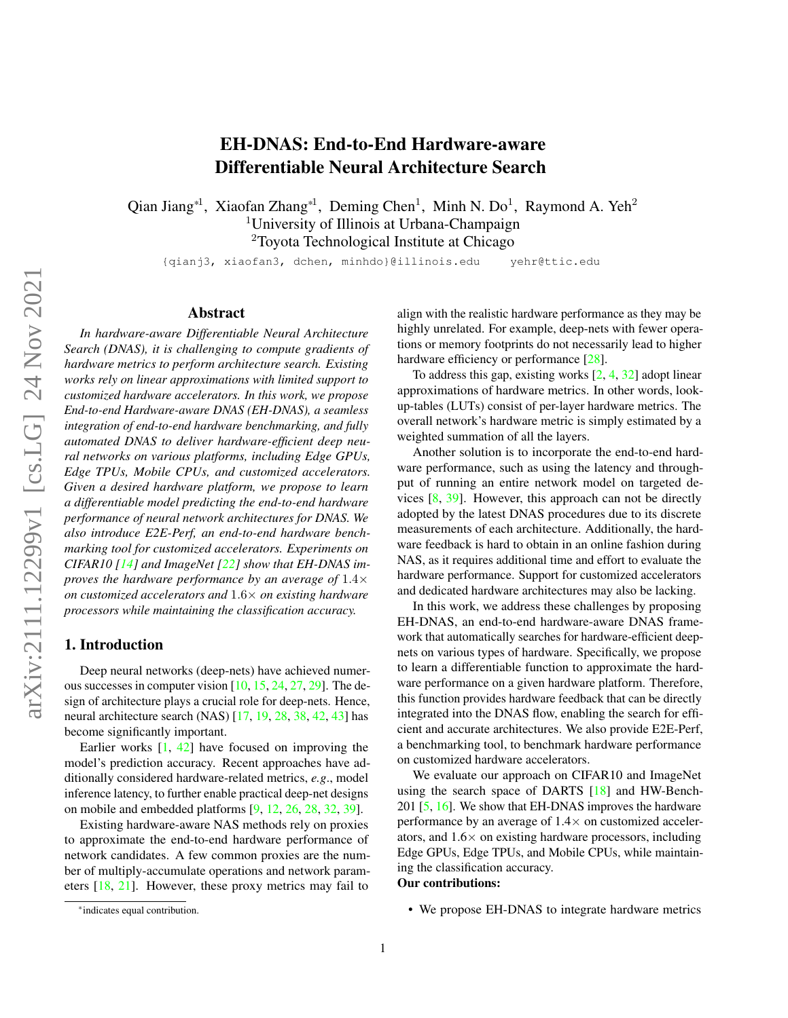# EH-DNAS: End-to-End Hardware-aware Differentiable Neural Architecture Search

Qian Jiang<sup>\*1</sup>, Xiaofan Zhang<sup>\*1</sup>, Deming Chen<sup>1</sup>, Minh N. Do<sup>1</sup>, Raymond A. Yeh<sup>2</sup> <sup>1</sup>University of Illinois at Urbana-Champaign <sup>2</sup>Toyota Technological Institute at Chicago

{qianj3, xiaofan3, dchen, minhdo}@illinois.edu yehr@ttic.edu

#### Abstract

*In hardware-aware Differentiable Neural Architecture Search (DNAS), it is challenging to compute gradients of hardware metrics to perform architecture search. Existing works rely on linear approximations with limited support to customized hardware accelerators. In this work, we propose End-to-end Hardware-aware DNAS (EH-DNAS), a seamless integration of end-to-end hardware benchmarking, and fully automated DNAS to deliver hardware-efficient deep neural networks on various platforms, including Edge GPUs, Edge TPUs, Mobile CPUs, and customized accelerators. Given a desired hardware platform, we propose to learn a differentiable model predicting the end-to-end hardware performance of neural network architectures for DNAS. We also introduce E2E-Perf, an end-to-end hardware benchmarking tool for customized accelerators. Experiments on CIFAR10 [\[14\]](#page-8-0) and ImageNet [\[22\]](#page-8-1) show that EH-DNAS improves the hardware performance by an average of* 1.4× *on customized accelerators and* 1.6× *on existing hardware processors while maintaining the classification accuracy.*

#### 1. Introduction

Deep neural networks (deep-nets) have achieved numerous successes in computer vision [\[10,](#page-8-2) [15,](#page-8-3) [24,](#page-8-4) [27,](#page-8-5) [29\]](#page-8-6). The design of architecture plays a crucial role for deep-nets. Hence, neural architecture search (NAS) [\[17,](#page-8-7) [19,](#page-8-8) [28,](#page-8-9) [38,](#page-9-0) [42,](#page-9-1) [43\]](#page-9-2) has become significantly important.

Earlier works [\[1,](#page-8-10) [42\]](#page-9-1) have focused on improving the model's prediction accuracy. Recent approaches have additionally considered hardware-related metrics, *e.g*., model inference latency, to further enable practical deep-net designs on mobile and embedded platforms [\[9,](#page-8-11) [12,](#page-8-12) [26,](#page-8-13) [28,](#page-8-9) [32,](#page-8-14) [39\]](#page-9-3).

Existing hardware-aware NAS methods rely on proxies to approximate the end-to-end hardware performance of network candidates. A few common proxies are the number of multiply-accumulate operations and network parameters [\[18,](#page-8-15) [21\]](#page-8-16). However, these proxy metrics may fail to

highly unrelated. For example, deep-nets with fewer operations or memory footprints do not necessarily lead to higher hardware efficiency or performance [\[28\]](#page-8-9). To address this gap, existing works  $[2, 4, 32]$  $[2, 4, 32]$  $[2, 4, 32]$  $[2, 4, 32]$  $[2, 4, 32]$  adopt linear

align with the realistic hardware performance as they may be

approximations of hardware metrics. In other words, lookup-tables (LUTs) consist of per-layer hardware metrics. The overall network's hardware metric is simply estimated by a weighted summation of all the layers.

Another solution is to incorporate the end-to-end hardware performance, such as using the latency and throughput of running an entire network model on targeted devices [\[8,](#page-8-19) [39\]](#page-9-3). However, this approach can not be directly adopted by the latest DNAS procedures due to its discrete measurements of each architecture. Additionally, the hardware feedback is hard to obtain in an online fashion during NAS, as it requires additional time and effort to evaluate the hardware performance. Support for customized accelerators and dedicated hardware architectures may also be lacking.

In this work, we address these challenges by proposing EH-DNAS, an end-to-end hardware-aware DNAS framework that automatically searches for hardware-efficient deepnets on various types of hardware. Specifically, we propose to learn a differentiable function to approximate the hardware performance on a given hardware platform. Therefore, this function provides hardware feedback that can be directly integrated into the DNAS flow, enabling the search for efficient and accurate architectures. We also provide E2E-Perf, a benchmarking tool, to benchmark hardware performance on customized hardware accelerators.

We evaluate our approach on CIFAR10 and ImageNet using the search space of DARTS [\[18\]](#page-8-15) and HW-Bench-201 [\[5,](#page-8-20) [16\]](#page-8-21). We show that EH-DNAS improves the hardware performance by an average of  $1.4\times$  on customized accelerators, and  $1.6\times$  on existing hardware processors, including Edge GPUs, Edge TPUs, and Mobile CPUs, while maintaining the classification accuracy.

## Our contributions:

<sup>•</sup> We propose EH-DNAS to integrate hardware metrics

<sup>\*</sup>indicates equal contribution.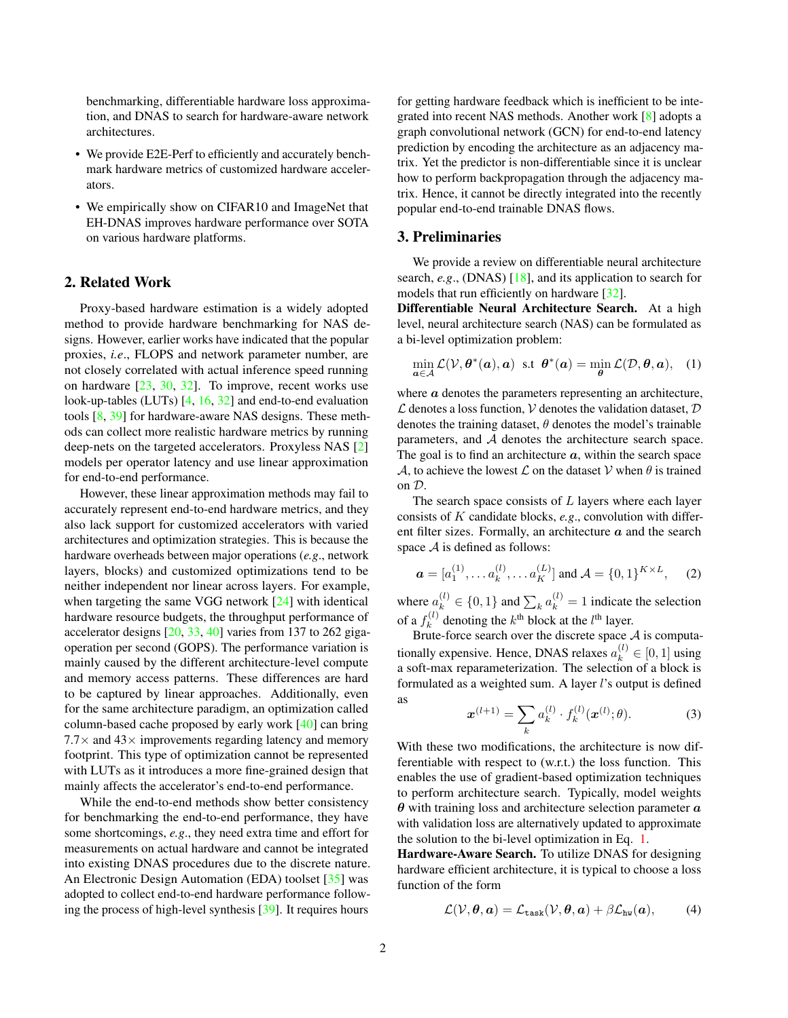benchmarking, differentiable hardware loss approximation, and DNAS to search for hardware-aware network architectures.

- We provide E2E-Perf to efficiently and accurately benchmark hardware metrics of customized hardware accelerators.
- We empirically show on CIFAR10 and ImageNet that EH-DNAS improves hardware performance over SOTA on various hardware platforms.

# 2. Related Work

Proxy-based hardware estimation is a widely adopted method to provide hardware benchmarking for NAS designs. However, earlier works have indicated that the popular proxies, *i.e*., FLOPS and network parameter number, are not closely correlated with actual inference speed running on hardware [\[23,](#page-8-22) [30,](#page-8-23) [32\]](#page-8-14). To improve, recent works use look-up-tables (LUTs) [\[4,](#page-8-18) [16,](#page-8-21) [32\]](#page-8-14) and end-to-end evaluation tools [\[8,](#page-8-19) [39\]](#page-9-3) for hardware-aware NAS designs. These methods can collect more realistic hardware metrics by running deep-nets on the targeted accelerators. Proxyless NAS [\[2\]](#page-8-17) models per operator latency and use linear approximation for end-to-end performance.

However, these linear approximation methods may fail to accurately represent end-to-end hardware metrics, and they also lack support for customized accelerators with varied architectures and optimization strategies. This is because the hardware overheads between major operations (*e.g*., network layers, blocks) and customized optimizations tend to be neither independent nor linear across layers. For example, when targeting the same VGG network [\[24\]](#page-8-4) with identical hardware resource budgets, the throughput performance of accelerator designs [\[20,](#page-8-24) [33,](#page-8-25) [40\]](#page-9-4) varies from 137 to 262 gigaoperation per second (GOPS). The performance variation is mainly caused by the different architecture-level compute and memory access patterns. These differences are hard to be captured by linear approaches. Additionally, even for the same architecture paradigm, an optimization called column-based cache proposed by early work [\[40\]](#page-9-4) can bring  $7.7\times$  and  $43\times$  improvements regarding latency and memory footprint. This type of optimization cannot be represented with LUTs as it introduces a more fine-grained design that mainly affects the accelerator's end-to-end performance.

While the end-to-end methods show better consistency for benchmarking the end-to-end performance, they have some shortcomings, *e.g*., they need extra time and effort for measurements on actual hardware and cannot be integrated into existing DNAS procedures due to the discrete nature. An Electronic Design Automation (EDA) toolset [\[35\]](#page-9-5) was adopted to collect end-to-end hardware performance following the process of high-level synthesis [\[39\]](#page-9-3). It requires hours

for getting hardware feedback which is inefficient to be integrated into recent NAS methods. Another work [\[8\]](#page-8-19) adopts a graph convolutional network (GCN) for end-to-end latency prediction by encoding the architecture as an adjacency matrix. Yet the predictor is non-differentiable since it is unclear how to perform backpropagation through the adjacency matrix. Hence, it cannot be directly integrated into the recently popular end-to-end trainable DNAS flows.

## <span id="page-1-1"></span>3. Preliminaries

We provide a review on differentiable neural architecture search, *e.g*., (DNAS) [\[18\]](#page-8-15), and its application to search for models that run efficiently on hardware [\[32\]](#page-8-14).

Differentiable Neural Architecture Search. At a high level, neural architecture search (NAS) can be formulated as a bi-level optimization problem:

<span id="page-1-0"></span>
$$
\min_{\mathbf{a}\in\mathcal{A}}\mathcal{L}(\mathcal{V},\boldsymbol{\theta}^*(\mathbf{a}),\mathbf{a})\ \ \text{s.t}\ \ \boldsymbol{\theta}^*(\mathbf{a})=\min_{\boldsymbol{\theta}}\mathcal{L}(\mathcal{D},\boldsymbol{\theta},\mathbf{a}),\ \ (1)
$$

where  $\alpha$  denotes the parameters representing an architecture,  $\mathcal L$  denotes a loss function,  $\mathcal V$  denotes the validation dataset,  $\mathcal D$ denotes the training dataset,  $\theta$  denotes the model's trainable parameters, and A denotes the architecture search space. The goal is to find an architecture  $\alpha$ , within the search space A, to achieve the lowest L on the dataset V when  $\theta$  is trained on D.

The search space consists of  $L$  layers where each layer consists of K candidate blocks, *e.g*., convolution with different filter sizes. Formally, an architecture  $\alpha$  and the search space  $A$  is defined as follows:

$$
\mathbf{a} = [a_1^{(1)}, \dots a_k^{(l)}, \dots a_K^{(L)}] \text{ and } \mathcal{A} = \{0, 1\}^{K \times L}, \quad (2)
$$

where  $a_k^{(l)} \in \{0, 1\}$  and  $\sum_k a_k^{(l)} = 1$  indicate the selection of a  $f_k^{(l)}$  $k_k^{(l)}$  denoting the  $k^{\text{th}}$  block at the  $l^{\text{th}}$  layer.

Brute-force search over the discrete space  $A$  is computationally expensive. Hence, DNAS relaxes  $a_k^{(l)} \in [0, 1]$  using a soft-max reparameterization. The selection of a block is formulated as a weighted sum. A layer l's output is defined as

$$
\boldsymbol{x}^{(l+1)} = \sum_{k} a_k^{(l)} \cdot f_k^{(l)}(\boldsymbol{x}^{(l)}; \theta).
$$
 (3)

With these two modifications, the architecture is now differentiable with respect to (w.r.t.) the loss function. This enables the use of gradient-based optimization techniques to perform architecture search. Typically, model weights  $\theta$  with training loss and architecture selection parameter  $\alpha$ with validation loss are alternatively updated to approximate the solution to the bi-level optimization in Eq. [1.](#page-1-0)

Hardware-Aware Search. To utilize DNAS for designing hardware efficient architecture, it is typical to choose a loss function of the form

<span id="page-1-2"></span>
$$
\mathcal{L}(\mathcal{V}, \boldsymbol{\theta}, \boldsymbol{a}) = \mathcal{L}_{\text{task}}(\mathcal{V}, \boldsymbol{\theta}, \boldsymbol{a}) + \beta \mathcal{L}_{\text{hw}}(\boldsymbol{a}), \qquad (4)
$$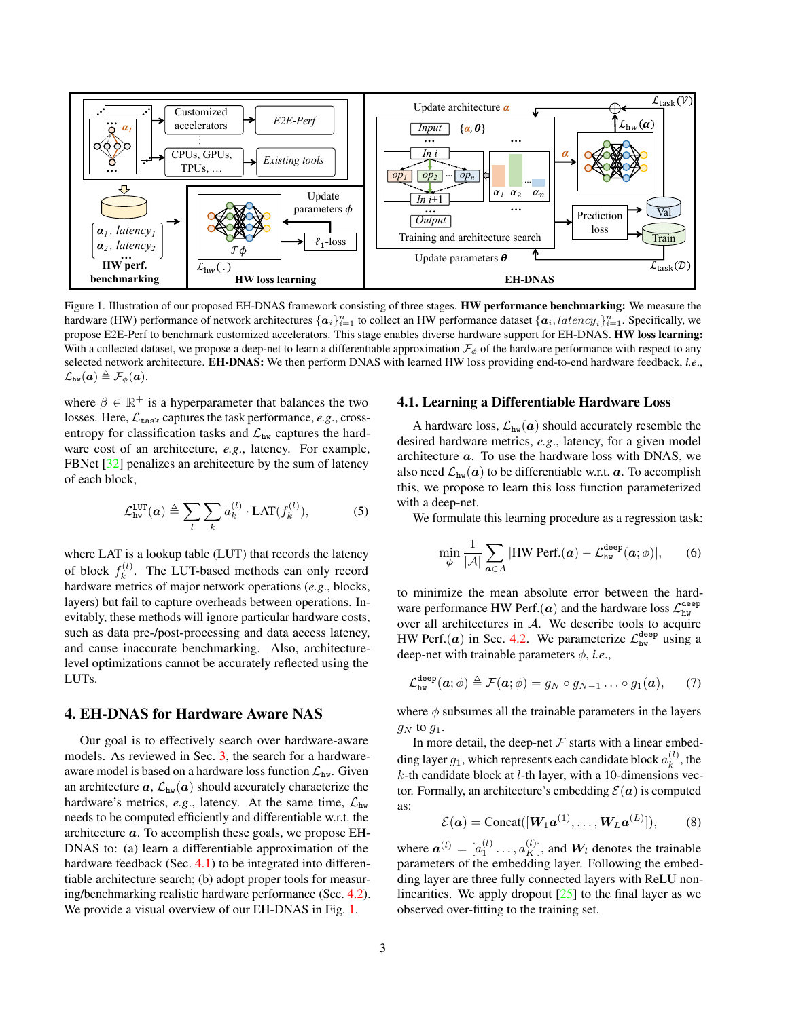<span id="page-2-1"></span>

Figure 1. Illustration of our proposed EH-DNAS framework consisting of three stages. HW performance benchmarking: We measure the hardware (HW) performance of network architectures  $\{a_i\}_{i=1}^n$  to collect an HW performance dataset  $\{a_i, latency_i\}_{i=1}^n$ . Specifically, we propose E2E-Perf to benchmark customized accelerators. This stage enables diverse hardware support for EH-DNAS. HW loss learning: With a collected dataset, we propose a deep-net to learn a differentiable approximation  $\mathcal{F}_{\phi}$  of the hardware performance with respect to any selected network architecture. EH-DNAS: We then perform DNAS with learned HW loss providing end-to-end hardware feedback, *i.e*.,  $\mathcal{L}_{\text{hw}}(\bm{a}) \triangleq \mathcal{F}_{\phi}(\bm{a}).$ 

where  $\beta \in \mathbb{R}^+$  is a hyperparameter that balances the two losses. Here,  $\mathcal{L}_{\text{task}}$  captures the task performance, *e.g.*, crossentropy for classification tasks and  $\mathcal{L}_{hw}$  captures the hardware cost of an architecture, *e.g*., latency. For example, FBNet [\[32\]](#page-8-14) penalizes an architecture by the sum of latency of each block,

<span id="page-2-3"></span>
$$
\mathcal{L}_{hw}^{LUT}(a) \triangleq \sum_{l} \sum_{k} a_k^{(l)} \cdot LAT(f_k^{(l)}), \tag{5}
$$

where LAT is a lookup table (LUT) that records the latency of block  $f_k^{(l)}$  $k^{(i)}$ . The LUT-based methods can only record hardware metrics of major network operations (*e.g*., blocks, layers) but fail to capture overheads between operations. Inevitably, these methods will ignore particular hardware costs, such as data pre-/post-processing and data access latency, and cause inaccurate benchmarking. Also, architecturelevel optimizations cannot be accurately reflected using the LUTs.

## 4. EH-DNAS for Hardware Aware NAS

Our goal is to effectively search over hardware-aware models. As reviewed in Sec. [3,](#page-1-1) the search for a hardwareaware model is based on a hardware loss function  $\mathcal{L}_{hw}$ . Given an architecture  $\boldsymbol{a}, \mathcal{L}_{hw}(\boldsymbol{a})$  should accurately characterize the hardware's metrics, *e.g.*, latency. At the same time,  $\mathcal{L}_{hw}$ needs to be computed efficiently and differentiable w.r.t. the architecture  $a$ . To accomplish these goals, we propose EH-DNAS to: (a) learn a differentiable approximation of the hardware feedback (Sec. [4.1\)](#page-2-0) to be integrated into differentiable architecture search; (b) adopt proper tools for measuring/benchmarking realistic hardware performance (Sec. [4.2\)](#page-3-0). We provide a visual overview of our EH-DNAS in Fig. [1.](#page-2-1)

#### <span id="page-2-0"></span>4.1. Learning a Differentiable Hardware Loss

A hardware loss,  $\mathcal{L}_{hw}(\mathbf{a})$  should accurately resemble the desired hardware metrics, *e.g*., latency, for a given model architecture a. To use the hardware loss with DNAS, we also need  $\mathcal{L}_{hw}(\boldsymbol{a})$  to be differentiable w.r.t.  $\boldsymbol{a}$ . To accomplish this, we propose to learn this loss function parameterized with a deep-net.

We formulate this learning procedure as a regression task:

<span id="page-2-2"></span>
$$
\min_{\phi} \frac{1}{|\mathcal{A}|} \sum_{\mathbf{a} \in A} |\text{HW Perf.}(\mathbf{a}) - \mathcal{L}_{\text{hw}}^{\text{deep}}(\mathbf{a}; \phi)|, \qquad (6)
$$

to minimize the mean absolute error between the hardware performance HW Perf. $(a)$  and the hardware loss  $\mathcal{L}_{hw}^{\text{deep}}$ over all architectures in  $A$ . We describe tools to acquire HW Perf.(*a*) in Sec. [4.2.](#page-3-0) We parameterize  $\mathcal{L}_{hw}^{\text{deep}}$  using a deep-net with trainable parameters  $\phi$ , *i.e.*,

$$
\mathcal{L}_{hw}^{\text{deep}}(\boldsymbol{a};\phi) \triangleq \mathcal{F}(\boldsymbol{a};\phi) = g_N \circ g_{N-1} \dots \circ g_1(\boldsymbol{a}), \qquad (7)
$$

where  $\phi$  subsumes all the trainable parameters in the layers  $q_N$  to  $q_1$ .

In more detail, the deep-net  $F$  starts with a linear embedding layer  $g_1$ , which represents each candidate block  $a_k^{(l)}$  $\binom{u}{k}$ , the  $k$ -th candidate block at  $l$ -th layer, with a 10-dimensions vector. Formally, an architecture's embedding  $\mathcal{E}(\boldsymbol{a})$  is computed as:

$$
\mathcal{E}(\boldsymbol{a}) = \text{Concat}([\boldsymbol{W}_1 \boldsymbol{a}^{(1)}, \dots, \boldsymbol{W}_L \boldsymbol{a}^{(L)})],\qquad(8)
$$

where  $\boldsymbol{a}^{(l)} = [a_1^{(l)} \dots, a_K^{(l)}]$ , and  $W_l$  denotes the trainable parameters of the embedding layer. Following the embedding layer are three fully connected layers with ReLU nonlinearities. We apply dropout  $[25]$  to the final layer as we observed over-fitting to the training set.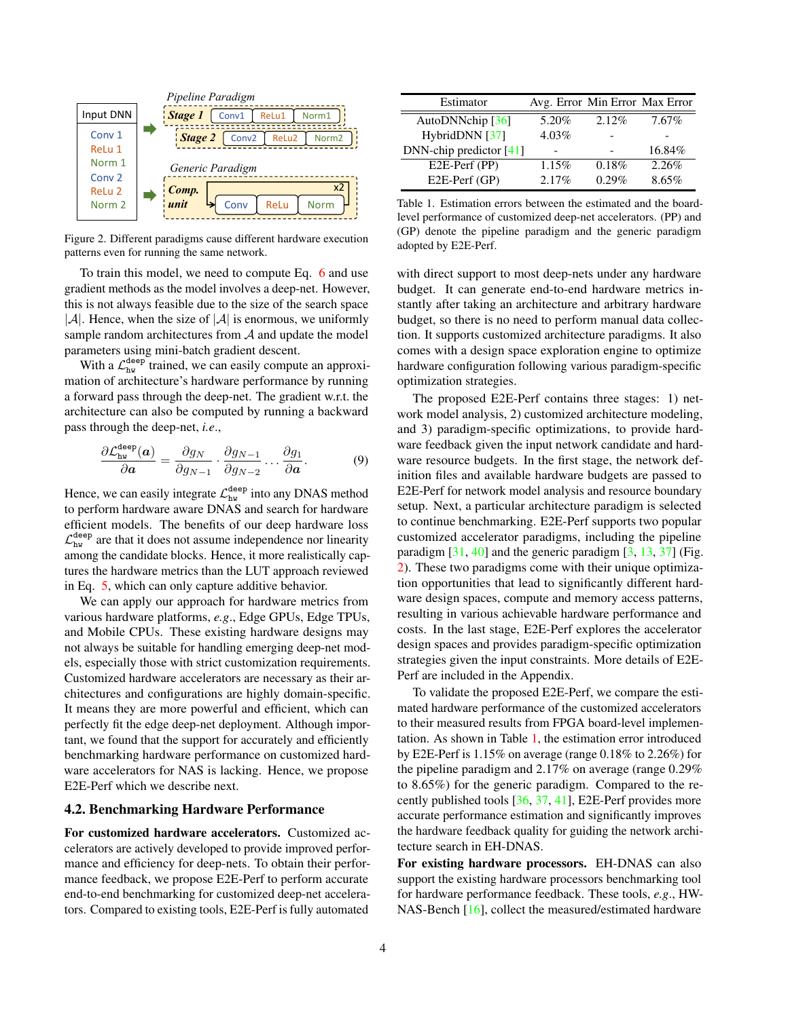<span id="page-3-1"></span>

Figure 2. Different paradigms cause different hardware execution patterns even for running the same network.

To train this model, we need to compute Eq. [6](#page-2-2) and use gradient methods as the model involves a deep-net. However, this is not always feasible due to the size of the search space  $|\mathcal{A}|$ . Hence, when the size of  $|\mathcal{A}|$  is enormous, we uniformly sample random architectures from  $A$  and update the model parameters using mini-batch gradient descent.

With a  $\mathcal{L}_{hw}^{\text{deep}}$  trained, we can easily compute an approximation of architecture's hardware performance by running a forward pass through the deep-net. The gradient w.r.t. the architecture can also be computed by running a backward pass through the deep-net, *i.e*.,

$$
\frac{\partial \mathcal{L}_{hw}^{\text{deep}}(\boldsymbol{a})}{\partial \boldsymbol{a}} = \frac{\partial g_N}{\partial g_{N-1}} \cdot \frac{\partial g_{N-1}}{\partial g_{N-2}} \dots \frac{\partial g_1}{\partial \boldsymbol{a}}.
$$
(9)

Hence, we can easily integrate  $\mathcal{L}_{hw}^{\text{deep}}$  into any DNAS method to perform hardware aware DNAS and search for hardware efficient models. The benefits of our deep hardware loss  $\mathcal{L}_{hw}^{\text{deep}}$  are that it does not assume independence nor linearity among the candidate blocks. Hence, it more realistically captures the hardware metrics than the LUT approach reviewed in Eq. [5,](#page-2-3) which can only capture additive behavior.

We can apply our approach for hardware metrics from various hardware platforms, *e.g*., Edge GPUs, Edge TPUs, and Mobile CPUs. These existing hardware designs may not always be suitable for handling emerging deep-net models, especially those with strict customization requirements. Customized hardware accelerators are necessary as their architectures and configurations are highly domain-specific. It means they are more powerful and efficient, which can perfectly fit the edge deep-net deployment. Although important, we found that the support for accurately and efficiently benchmarking hardware performance on customized hardware accelerators for NAS is lacking. Hence, we propose E2E-Perf which we describe next.

#### <span id="page-3-0"></span>4.2. Benchmarking Hardware Performance

For customized hardware accelerators. Customized accelerators are actively developed to provide improved performance and efficiency for deep-nets. To obtain their performance feedback, we propose E2E-Perf to perform accurate end-to-end benchmarking for customized deep-net accelerators. Compared to existing tools, E2E-Perf is fully automated

<span id="page-3-2"></span>

| Estimator                 | Avg. Error Min Error Max Error |       |        |
|---------------------------|--------------------------------|-------|--------|
| AutoDNNchip $[36]$        | 5.20%                          | 2.12% | 7.67%  |
| HybridDNN [37]            | 4.03%                          |       |        |
| DNN-chip predictor $[41]$ |                                |       | 16.84% |
| E2E-Perf (PP)             | 1.15%                          | 0.18% | 2.26%  |
| E2E-Perf (GP)             | 2.17%                          | 0.29% | 8.65%  |

Table 1. Estimation errors between the estimated and the boardlevel performance of customized deep-net accelerators. (PP) and (GP) denote the pipeline paradigm and the generic paradigm adopted by E2E-Perf.

with direct support to most deep-nets under any hardware budget. It can generate end-to-end hardware metrics instantly after taking an architecture and arbitrary hardware budget, so there is no need to perform manual data collection. It supports customized architecture paradigms. It also comes with a design space exploration engine to optimize hardware configuration following various paradigm-specific optimization strategies.

The proposed E2E-Perf contains three stages: 1) network model analysis, 2) customized architecture modeling, and 3) paradigm-specific optimizations, to provide hardware feedback given the input network candidate and hardware resource budgets. In the first stage, the network definition files and available hardware budgets are passed to E2E-Perf for network model analysis and resource boundary setup. Next, a particular architecture paradigm is selected to continue benchmarking. E2E-Perf supports two popular customized accelerator paradigms, including the pipeline paradigm  $[31, 40]$  $[31, 40]$  $[31, 40]$  and the generic paradigm  $[3, 13, 37]$  $[3, 13, 37]$  $[3, 13, 37]$  $[3, 13, 37]$  $[3, 13, 37]$  (Fig. [2\)](#page-3-1). These two paradigms come with their unique optimization opportunities that lead to significantly different hardware design spaces, compute and memory access patterns, resulting in various achievable hardware performance and costs. In the last stage, E2E-Perf explores the accelerator design spaces and provides paradigm-specific optimization strategies given the input constraints. More details of E2E-Perf are included in the Appendix.

To validate the proposed E2E-Perf, we compare the estimated hardware performance of the customized accelerators to their measured results from FPGA board-level implementation. As shown in Table [1,](#page-3-2) the estimation error introduced by E2E-Perf is 1.15% on average (range 0.18% to 2.26%) for the pipeline paradigm and 2.17% on average (range 0.29% to 8.65%) for the generic paradigm. Compared to the recently published tools [\[36,](#page-9-6) [37,](#page-9-7) [41\]](#page-9-8), E2E-Perf provides more accurate performance estimation and significantly improves the hardware feedback quality for guiding the network architecture search in EH-DNAS.

For existing hardware processors. EH-DNAS can also support the existing hardware processors benchmarking tool for hardware performance feedback. These tools, *e.g*., HW-NAS-Bench [\[16\]](#page-8-21), collect the measured/estimated hardware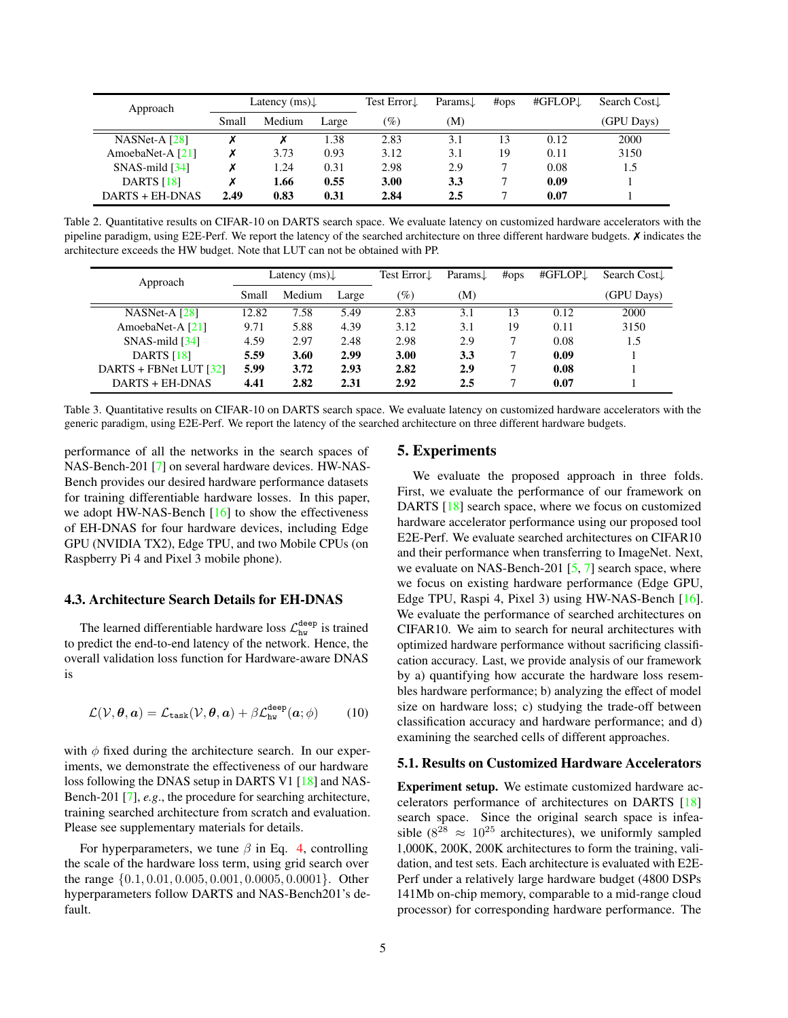<span id="page-4-0"></span>

| Approach                       |       | Latency $(ms)$ |       |                    | Params $\downarrow$ | #ops | #GFLOP <sub>J</sub> | Search Cost. |
|--------------------------------|-------|----------------|-------|--------------------|---------------------|------|---------------------|--------------|
|                                | Small | Medium         | Large | $\mathcal{O}(q_0)$ | (M)                 |      |                     | (GPU Days)   |
| NASNet-A $[28]$                |       |                | .38   | 2.83               | 3.1                 | 13   | 0.12                | 2000         |
| AmoebaNet-A [21]               | Х     | 3.73           | 0.93  | 3.12               | 3.1                 | 19   | 0.11                | 3150         |
| $SNAS$ -mild $\left[34\right]$ | Х     | 1.24           | 0.31  | 2.98               | 2.9                 |      | 0.08                | 1.5          |
| DARTS [18]                     | Х     | 1.66           | 0.55  | 3.00               | 3.3                 |      | 0.09                |              |
| DARTS + EH-DNAS                | 2.49  | 0.83           | 0.31  | 2.84               | 2.5                 |      | 0.07                |              |

Table 2. Quantitative results on CIFAR-10 on DARTS search space. We evaluate latency on customized hardware accelerators with the pipeline paradigm, using E2E-Perf. We report the latency of the searched architecture on three different hardware budgets.  $\chi$  indicates the architecture exceeds the HW budget. Note that LUT can not be obtained with PP.

<span id="page-4-1"></span>

| Approach                       |       | Latency $(ms)$ |       | Test Error↓ | Params <sub>J</sub> | #ops         | #GFLOPJ | Search Cost |
|--------------------------------|-------|----------------|-------|-------------|---------------------|--------------|---------|-------------|
|                                | Small | Medium         | Large | $(\%)$      | (M)                 |              |         | (GPU Days)  |
| NASNet-A $[28]$                | 12.82 | 7.58           | 5.49  | 2.83        | 3.1                 | 13           | 0.12    | 2000        |
| AmoebaNet-A [21]               | 9.71  | 5.88           | 4.39  | 3.12        | 3.1                 | 19           | 0.11    | 3150        |
| $SNAS$ -mild $\left[34\right]$ | 4.59  | 2.97           | 2.48  | 2.98        | 2.9                 |              | 0.08    | 1.5         |
| <b>DARTS</b> [18]              | 5.59  | 3.60           | 2.99  | 3.00        | 3.3                 |              | 0.09    |             |
| DARTS + FBNet LUT $[32]$       | 5.99  | 3.72           | 2.93  | 2.82        | 2.9                 |              | 0.08    |             |
| DARTS + EH-DNAS                | 4.41  | 2.82           | 2.31  | 2.92        | 2.5                 | $\mathbf{r}$ | 0.07    |             |

Table 3. Quantitative results on CIFAR-10 on DARTS search space. We evaluate latency on customized hardware accelerators with the generic paradigm, using E2E-Perf. We report the latency of the searched architecture on three different hardware budgets.

performance of all the networks in the search spaces of NAS-Bench-201 [\[7\]](#page-8-30) on several hardware devices. HW-NAS-Bench provides our desired hardware performance datasets for training differentiable hardware losses. In this paper, we adopt HW-NAS-Bench [\[16\]](#page-8-21) to show the effectiveness of EH-DNAS for four hardware devices, including Edge GPU (NVIDIA TX2), Edge TPU, and two Mobile CPUs (on Raspberry Pi 4 and Pixel 3 mobile phone).

#### 4.3. Architecture Search Details for EH-DNAS

The learned differentiable hardware loss  $\mathcal{L}_{hw}^{deep}$  is trained to predict the end-to-end latency of the network. Hence, the overall validation loss function for Hardware-aware DNAS is

$$
\mathcal{L}(\mathcal{V}, \boldsymbol{\theta}, \boldsymbol{a}) = \mathcal{L}_{\text{task}}(\mathcal{V}, \boldsymbol{\theta}, \boldsymbol{a}) + \beta \mathcal{L}_{\text{hw}}^{\text{deep}}(\boldsymbol{a}; \phi)
$$
(10)

with  $\phi$  fixed during the architecture search. In our experiments, we demonstrate the effectiveness of our hardware loss following the DNAS setup in DARTS V1 [\[18\]](#page-8-15) and NAS-Bench-201 [\[7\]](#page-8-30), *e.g*., the procedure for searching architecture, training searched architecture from scratch and evaluation. Please see supplementary materials for details.

For hyperparameters, we tune  $\beta$  in Eq. [4,](#page-1-2) controlling the scale of the hardware loss term, using grid search over the range {0.1, 0.01, 0.005, 0.001, 0.0005, 0.0001}. Other hyperparameters follow DARTS and NAS-Bench201's default.

## 5. Experiments

We evaluate the proposed approach in three folds. First, we evaluate the performance of our framework on DARTS [\[18\]](#page-8-15) search space, where we focus on customized hardware accelerator performance using our proposed tool E2E-Perf. We evaluate searched architectures on CIFAR10 and their performance when transferring to ImageNet. Next, we evaluate on NAS-Bench-201 [\[5,](#page-8-20) [7\]](#page-8-30) search space, where we focus on existing hardware performance (Edge GPU, Edge TPU, Raspi 4, Pixel 3) using HW-NAS-Bench [\[16\]](#page-8-21). We evaluate the performance of searched architectures on CIFAR10. We aim to search for neural architectures with optimized hardware performance without sacrificing classification accuracy. Last, we provide analysis of our framework by a) quantifying how accurate the hardware loss resembles hardware performance; b) analyzing the effect of model size on hardware loss; c) studying the trade-off between classification accuracy and hardware performance; and d) examining the searched cells of different approaches.

#### 5.1. Results on Customized Hardware Accelerators

Experiment setup. We estimate customized hardware accelerators performance of architectures on DARTS [\[18\]](#page-8-15) search space. Since the original search space is infeasible ( $8^{28} \approx 10^{25}$  architectures), we uniformly sampled 1,000K, 200K, 200K architectures to form the training, validation, and test sets. Each architecture is evaluated with E2E-Perf under a relatively large hardware budget (4800 DSPs 141Mb on-chip memory, comparable to a mid-range cloud processor) for corresponding hardware performance. The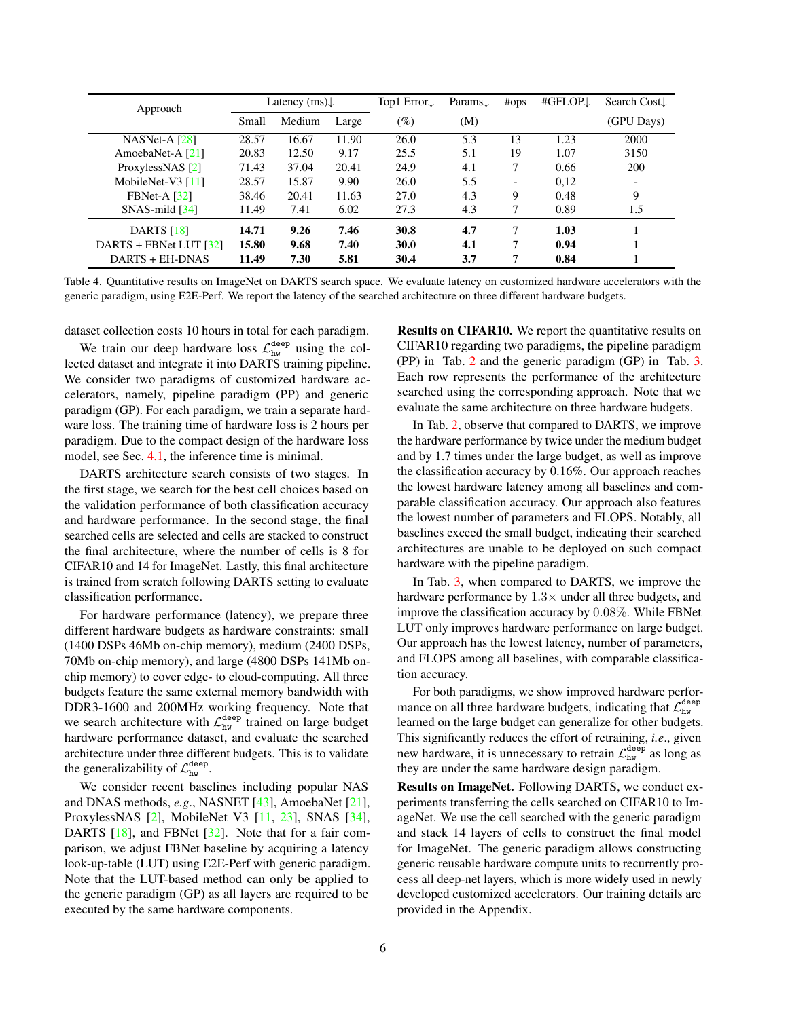<span id="page-5-0"></span>

| Approach                 |       | Latency $(ms)$ |       | Top1 $Error\downarrow$ | Params↓ | #ops                     | #GFLOP <sub>↓</sub> | Search Cost              |
|--------------------------|-------|----------------|-------|------------------------|---------|--------------------------|---------------------|--------------------------|
|                          | Small | Medium         | Large | $(\%)$                 | (M)     |                          |                     | (GPU Days)               |
| NASNet-A $[28]$          | 28.57 | 16.67          | 11.90 | 26.0                   | 5.3     | 13                       | 1.23                | 2000                     |
| AmoebaNet-A [21]         | 20.83 | 12.50          | 9.17  | 25.5                   | 5.1     | 19                       | 1.07                | 3150                     |
| ProxylessNAS [2]         | 71.43 | 37.04          | 20.41 | 24.9                   | 4.1     | 7                        | 0.66                | 200                      |
| MobileNet-V3 $[11]$      | 28.57 | 15.87          | 9.90  | 26.0                   | 5.5     | $\overline{\phantom{a}}$ | 0,12                | $\overline{\phantom{0}}$ |
| $FBNet-A [32]$           | 38.46 | 20.41          | 11.63 | 27.0                   | 4.3     | 9                        | 0.48                | 9                        |
| $SNAS$ -mild $[34]$      | 11.49 | 7.41           | 6.02  | 27.3                   | 4.3     | 7                        | 0.89                | 1.5                      |
| <b>DARTS</b> [18]        | 14.71 | 9.26           | 7.46  | 30.8                   | 4.7     | 7                        | 1.03                |                          |
| DARTS + FBNet LUT $[32]$ | 15.80 | 9.68           | 7.40  | 30.0                   | 4.1     | 7                        | 0.94                |                          |
| DARTS + EH-DNAS          | 11.49 | 7.30           | 5.81  | 30.4                   | 3.7     | 7                        | 0.84                |                          |

Table 4. Quantitative results on ImageNet on DARTS search space. We evaluate latency on customized hardware accelerators with the generic paradigm, using E2E-Perf. We report the latency of the searched architecture on three different hardware budgets.

dataset collection costs 10 hours in total for each paradigm.

We train our deep hardware loss  $\mathcal{L}_{hw}^{\text{deep}}$  using the collected dataset and integrate it into DARTS training pipeline. We consider two paradigms of customized hardware accelerators, namely, pipeline paradigm (PP) and generic paradigm (GP). For each paradigm, we train a separate hardware loss. The training time of hardware loss is 2 hours per paradigm. Due to the compact design of the hardware loss model, see Sec. [4.1,](#page-2-0) the inference time is minimal.

DARTS architecture search consists of two stages. In the first stage, we search for the best cell choices based on the validation performance of both classification accuracy and hardware performance. In the second stage, the final searched cells are selected and cells are stacked to construct the final architecture, where the number of cells is 8 for CIFAR10 and 14 for ImageNet. Lastly, this final architecture is trained from scratch following DARTS setting to evaluate classification performance.

For hardware performance (latency), we prepare three different hardware budgets as hardware constraints: small (1400 DSPs 46Mb on-chip memory), medium (2400 DSPs, 70Mb on-chip memory), and large (4800 DSPs 141Mb onchip memory) to cover edge- to cloud-computing. All three budgets feature the same external memory bandwidth with DDR3-1600 and 200MHz working frequency. Note that we search architecture with  $\mathcal{L}_{hw}^{deep}$  trained on large budget hardware performance dataset, and evaluate the searched architecture under three different budgets. This is to validate the generalizability of  $\mathcal{L}_{hw}^{\text{deep}}$ .

We consider recent baselines including popular NAS and DNAS methods, *e.g*., NASNET [\[43\]](#page-9-2), AmoebaNet [\[21\]](#page-8-16), ProxylessNAS [\[2\]](#page-8-17), MobileNet V3 [\[11,](#page-8-31) [23\]](#page-8-22), SNAS [\[34\]](#page-9-9), DARTS [\[18\]](#page-8-15), and FBNet [\[32\]](#page-8-14). Note that for a fair comparison, we adjust FBNet baseline by acquiring a latency look-up-table (LUT) using E2E-Perf with generic paradigm. Note that the LUT-based method can only be applied to the generic paradigm (GP) as all layers are required to be executed by the same hardware components.

Results on CIFAR10. We report the quantitative results on CIFAR10 regarding two paradigms, the pipeline paradigm (PP) in Tab. [2](#page-4-0) and the generic paradigm (GP) in Tab. [3.](#page-4-1) Each row represents the performance of the architecture searched using the corresponding approach. Note that we evaluate the same architecture on three hardware budgets.

In Tab. [2,](#page-4-0) observe that compared to DARTS, we improve the hardware performance by twice under the medium budget and by 1.7 times under the large budget, as well as improve the classification accuracy by 0.16%. Our approach reaches the lowest hardware latency among all baselines and comparable classification accuracy. Our approach also features the lowest number of parameters and FLOPS. Notably, all baselines exceed the small budget, indicating their searched architectures are unable to be deployed on such compact hardware with the pipeline paradigm.

In Tab. [3,](#page-4-1) when compared to DARTS, we improve the hardware performance by  $1.3\times$  under all three budgets, and improve the classification accuracy by 0.08%. While FBNet LUT only improves hardware performance on large budget. Our approach has the lowest latency, number of parameters, and FLOPS among all baselines, with comparable classification accuracy.

For both paradigms, we show improved hardware performance on all three hardware budgets, indicating that  $\mathcal{L}_{hw}^{\text{deep}}$ learned on the large budget can generalize for other budgets. This significantly reduces the effort of retraining, *i.e*., given new hardware, it is unnecessary to retrain  $\mathcal{L}_{hw}^{\text{deep}}$  as long as they are under the same hardware design paradigm.

Results on ImageNet. Following DARTS, we conduct experiments transferring the cells searched on CIFAR10 to ImageNet. We use the cell searched with the generic paradigm and stack 14 layers of cells to construct the final model for ImageNet. The generic paradigm allows constructing generic reusable hardware compute units to recurrently process all deep-net layers, which is more widely used in newly developed customized accelerators. Our training details are provided in the Appendix.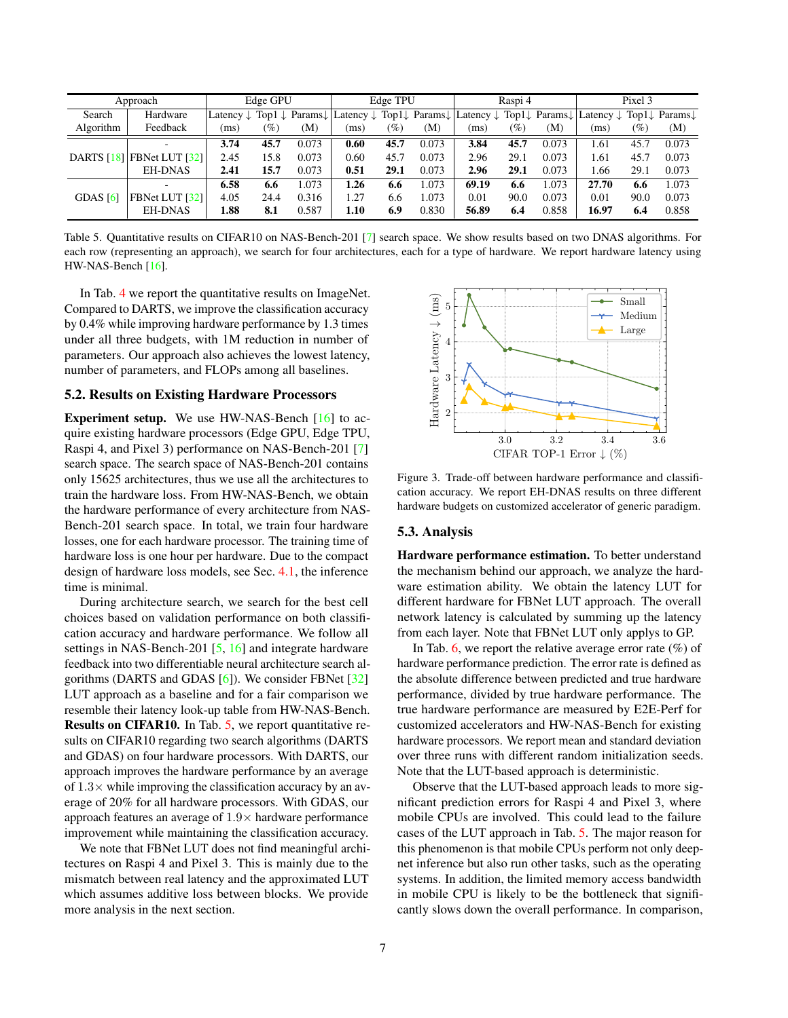<span id="page-6-0"></span>

|            | Approach                      |                      | Edge GPU |       |                                                                                                    | Edge TPU |       |                      | Raspi 4         |       |                                                                                                  | Pixel 3 |       |
|------------|-------------------------------|----------------------|----------|-------|----------------------------------------------------------------------------------------------------|----------|-------|----------------------|-----------------|-------|--------------------------------------------------------------------------------------------------|---------|-------|
| Search     | Hardware                      | Latency $\downarrow$ |          |       | Top1 $\downarrow$ Params $\downarrow$   Latency $\downarrow$ Top1 $\downarrow$ Params $\downarrow$ |          |       | Latency $\downarrow$ |                 |       | Top1 $\downarrow$ Params $\downarrow$ Latency $\downarrow$ Top1 $\downarrow$ Params $\downarrow$ |         |       |
| Algorithm  | Feedback                      | (ms)                 | $(\%)$   | (M)   | (ms)                                                                                               | $(\%)$   | (M)   | (ms)                 | $\mathscr{O}_0$ | (M)   | (ms)                                                                                             | $(\%)$  | (M)   |
|            |                               | 3.74                 | 45.7     | 0.073 | 0.60                                                                                               | 45.7     | 0.073 | 3.84                 | 45.7            | 0.073 | 1.61                                                                                             | 45.7    | 0.073 |
|            | DARTS $[18]$ FBNet LUT $[32]$ | 2.45                 | 15.8     | 0.073 | 0.60                                                                                               | 45.7     | 0.073 | 2.96                 | 29.1            | 0.073 | 1.61                                                                                             | 45.7    | 0.073 |
|            | <b>EH-DNAS</b>                | 2.41                 | 15.7     | 0.073 | 0.51                                                                                               | 29.1     | 0.073 | 2.96                 | 29.1            | 0.073 | 1.66                                                                                             | 29.1    | 0.073 |
|            |                               | 6.58                 | 6.6      | 1.073 | 1.26                                                                                               | 6.6      | 1.073 | 69.19                | 6.6             | .073  | 27.70                                                                                            | 6.6     | 1.073 |
| GDAS $[6]$ | FBNet LUT [32]                | 4.05                 | 24.4     | 0.316 | 1.27                                                                                               | 6.6      | 1.073 | 0.01                 | 90.0            | 0.073 | 0.01                                                                                             | 90.0    | 0.073 |
|            | <b>EH-DNAS</b>                | 1.88                 | 8.1      | 0.587 | 1.10                                                                                               | 6.9      | 0.830 | 56.89                | 6.4             | 0.858 | 16.97                                                                                            | 6.4     | 0.858 |

Table 5. Quantitative results on CIFAR10 on NAS-Bench-201 [\[7\]](#page-8-30) search space. We show results based on two DNAS algorithms. For each row (representing an approach), we search for four architectures, each for a type of hardware. We report hardware latency using HW-NAS-Bench [\[16\]](#page-8-21).

In Tab. [4](#page-5-0) we report the quantitative results on ImageNet. Compared to DARTS, we improve the classification accuracy by 0.4% while improving hardware performance by 1.3 times under all three budgets, with 1M reduction in number of parameters. Our approach also achieves the lowest latency, number of parameters, and FLOPs among all baselines.

## 5.2. Results on Existing Hardware Processors

Experiment setup. We use HW-NAS-Bench [\[16\]](#page-8-21) to acquire existing hardware processors (Edge GPU, Edge TPU, Raspi 4, and Pixel 3) performance on NAS-Bench-201 [\[7\]](#page-8-30) search space. The search space of NAS-Bench-201 contains only 15625 architectures, thus we use all the architectures to train the hardware loss. From HW-NAS-Bench, we obtain the hardware performance of every architecture from NAS-Bench-201 search space. In total, we train four hardware losses, one for each hardware processor. The training time of hardware loss is one hour per hardware. Due to the compact design of hardware loss models, see Sec. [4.1,](#page-2-0) the inference time is minimal.

During architecture search, we search for the best cell choices based on validation performance on both classification accuracy and hardware performance. We follow all settings in NAS-Bench-201 [\[5,](#page-8-20) [16\]](#page-8-21) and integrate hardware feedback into two differentiable neural architecture search algorithms (DARTS and GDAS [\[6\]](#page-8-32)). We consider FBNet [\[32\]](#page-8-14) LUT approach as a baseline and for a fair comparison we resemble their latency look-up table from HW-NAS-Bench. Results on CIFAR10. In Tab. [5,](#page-6-0) we report quantitative results on CIFAR10 regarding two search algorithms (DARTS and GDAS) on four hardware processors. With DARTS, our approach improves the hardware performance by an average of  $1.3\times$  while improving the classification accuracy by an average of 20% for all hardware processors. With GDAS, our approach features an average of  $1.9\times$  hardware performance improvement while maintaining the classification accuracy.

We note that FBNet LUT does not find meaningful architectures on Raspi 4 and Pixel 3. This is mainly due to the mismatch between real latency and the approximated LUT which assumes additive loss between blocks. We provide more analysis in the next section.

<span id="page-6-1"></span>

Figure 3. Trade-off between hardware performance and classification accuracy. We report EH-DNAS results on three different hardware budgets on customized accelerator of generic paradigm.

#### 5.3. Analysis

Hardware performance estimation. To better understand the mechanism behind our approach, we analyze the hardware estimation ability. We obtain the latency LUT for different hardware for FBNet LUT approach. The overall network latency is calculated by summing up the latency from each layer. Note that FBNet LUT only applys to GP.

In Tab. [6,](#page-7-0) we report the relative average error rate  $(\%)$  of hardware performance prediction. The error rate is defined as the absolute difference between predicted and true hardware performance, divided by true hardware performance. The true hardware performance are measured by E2E-Perf for customized accelerators and HW-NAS-Bench for existing hardware processors. We report mean and standard deviation over three runs with different random initialization seeds. Note that the LUT-based approach is deterministic.

Observe that the LUT-based approach leads to more significant prediction errors for Raspi 4 and Pixel 3, where mobile CPUs are involved. This could lead to the failure cases of the LUT approach in Tab. [5.](#page-6-0) The major reason for this phenomenon is that mobile CPUs perform not only deepnet inference but also run other tasks, such as the operating systems. In addition, the limited memory access bandwidth in mobile CPU is likely to be the bottleneck that significantly slows down the overall performance. In comparison,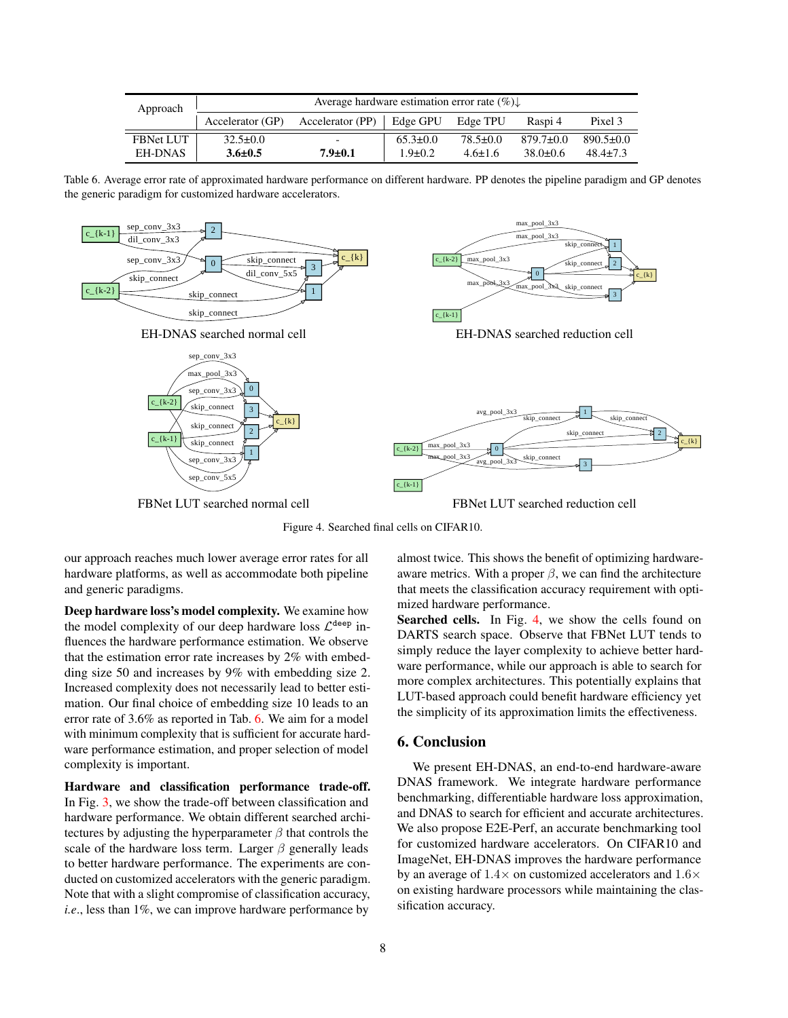<span id="page-7-0"></span>

| Approach         | Average hardware estimation error rate $(\%) \downarrow$ |                  |                |                |              |                 |  |  |  |  |  |
|------------------|----------------------------------------------------------|------------------|----------------|----------------|--------------|-----------------|--|--|--|--|--|
|                  | Accelerator (GP)                                         | Accelerator (PP) | Edge GPU       | Edge TPU       | Raspi 4      | Pixel 3         |  |  |  |  |  |
| <b>FBNet LUT</b> | $32.5 \pm 0.0$                                           |                  | $65.3 \pm 0.0$ | $78.5 \pm 0.0$ | $879.7+0.0$  | $890.5 \pm 0.0$ |  |  |  |  |  |
| <b>EH-DNAS</b>   | $3.6 \pm 0.5$                                            | $7.9 \pm 0.1$    | $1.9 \pm 0.2$  | $4.6 \pm 1.6$  | $38.0 + 0.6$ | $48.4 + 7.3$    |  |  |  |  |  |

Table 6. Average error rate of approximated hardware performance on different hardware. PP denotes the pipeline paradigm and GP denotes the generic paradigm for customized hardware accelerators.

<span id="page-7-1"></span>

Figure 4. Searched final cells on CIFAR10.

our approach reaches much lower average error rates for all hardware platforms, as well as accommodate both pipeline and generic paradigms.

Deep hardware loss's model complexity. We examine how the model complexity of our deep hardware loss  $\mathcal{L}^{\text{deep}}$  influences the hardware performance estimation. We observe that the estimation error rate increases by 2% with embedding size 50 and increases by 9% with embedding size 2. Increased complexity does not necessarily lead to better estimation. Our final choice of embedding size 10 leads to an error rate of 3.6% as reported in Tab. [6.](#page-7-0) We aim for a model with minimum complexity that is sufficient for accurate hardware performance estimation, and proper selection of model complexity is important.

Hardware and classification performance trade-off. In Fig. [3,](#page-6-1) we show the trade-off between classification and hardware performance. We obtain different searched architectures by adjusting the hyperparameter  $\beta$  that controls the scale of the hardware loss term. Larger  $\beta$  generally leads to better hardware performance. The experiments are conducted on customized accelerators with the generic paradigm. Note that with a slight compromise of classification accuracy, *i.e*., less than 1%, we can improve hardware performance by

almost twice. This shows the benefit of optimizing hardwareaware metrics. With a proper  $\beta$ , we can find the architecture that meets the classification accuracy requirement with optimized hardware performance.

Searched cells. In Fig. [4,](#page-7-1) we show the cells found on DARTS search space. Observe that FBNet LUT tends to simply reduce the layer complexity to achieve better hardware performance, while our approach is able to search for more complex architectures. This potentially explains that LUT-based approach could benefit hardware efficiency yet the simplicity of its approximation limits the effectiveness.

# 6. Conclusion

We present EH-DNAS, an end-to-end hardware-aware DNAS framework. We integrate hardware performance benchmarking, differentiable hardware loss approximation, and DNAS to search for efficient and accurate architectures. We also propose E2E-Perf, an accurate benchmarking tool for customized hardware accelerators. On CIFAR10 and ImageNet, EH-DNAS improves the hardware performance by an average of  $1.4\times$  on customized accelerators and  $1.6\times$ on existing hardware processors while maintaining the classification accuracy.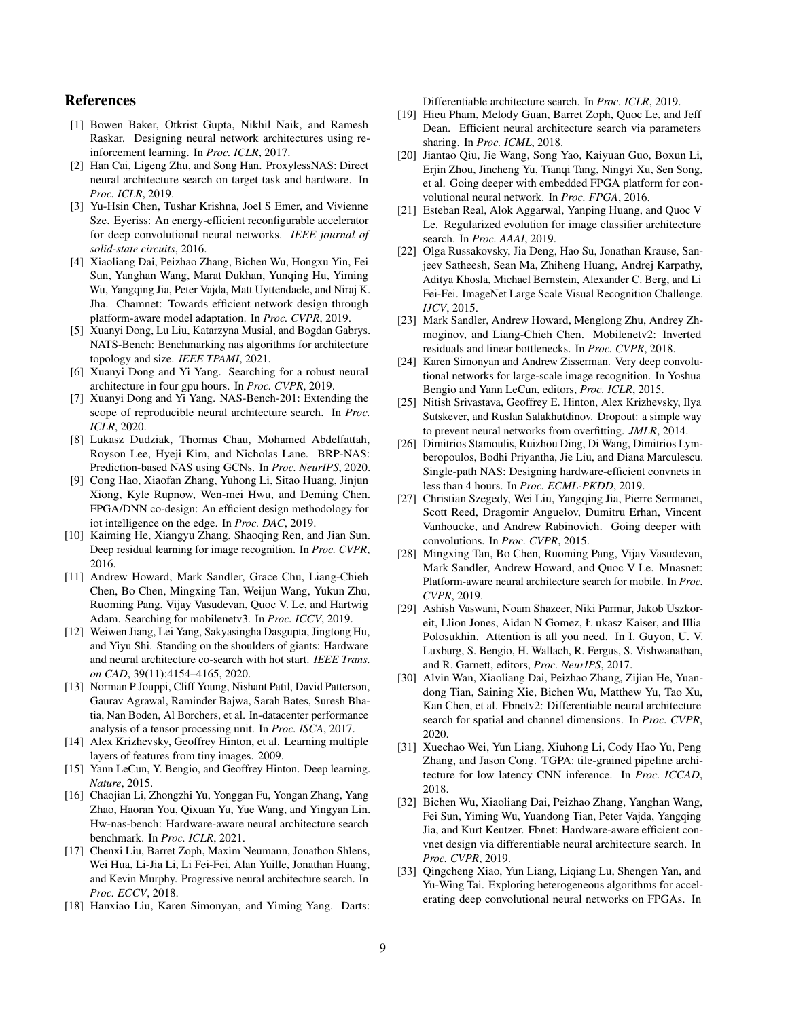## References

- <span id="page-8-10"></span>[1] Bowen Baker, Otkrist Gupta, Nikhil Naik, and Ramesh Raskar. Designing neural network architectures using reinforcement learning. In *Proc. ICLR*, 2017.
- <span id="page-8-17"></span>[2] Han Cai, Ligeng Zhu, and Song Han. ProxylessNAS: Direct neural architecture search on target task and hardware. In *Proc. ICLR*, 2019.
- <span id="page-8-28"></span>[3] Yu-Hsin Chen, Tushar Krishna, Joel S Emer, and Vivienne Sze. Eyeriss: An energy-efficient reconfigurable accelerator for deep convolutional neural networks. *IEEE journal of solid-state circuits*, 2016.
- <span id="page-8-18"></span>[4] Xiaoliang Dai, Peizhao Zhang, Bichen Wu, Hongxu Yin, Fei Sun, Yanghan Wang, Marat Dukhan, Yunqing Hu, Yiming Wu, Yangqing Jia, Peter Vajda, Matt Uyttendaele, and Niraj K. Jha. Chamnet: Towards efficient network design through platform-aware model adaptation. In *Proc. CVPR*, 2019.
- <span id="page-8-20"></span>[5] Xuanyi Dong, Lu Liu, Katarzyna Musial, and Bogdan Gabrys. NATS-Bench: Benchmarking nas algorithms for architecture topology and size. *IEEE TPAMI*, 2021.
- <span id="page-8-32"></span>[6] Xuanyi Dong and Yi Yang. Searching for a robust neural architecture in four gpu hours. In *Proc. CVPR*, 2019.
- <span id="page-8-30"></span>[7] Xuanyi Dong and Yi Yang. NAS-Bench-201: Extending the scope of reproducible neural architecture search. In *Proc. ICLR*, 2020.
- <span id="page-8-19"></span>[8] Lukasz Dudziak, Thomas Chau, Mohamed Abdelfattah, Royson Lee, Hyeji Kim, and Nicholas Lane. BRP-NAS: Prediction-based NAS using GCNs. In *Proc. NeurIPS*, 2020.
- <span id="page-8-11"></span>[9] Cong Hao, Xiaofan Zhang, Yuhong Li, Sitao Huang, Jinjun Xiong, Kyle Rupnow, Wen-mei Hwu, and Deming Chen. FPGA/DNN co-design: An efficient design methodology for iot intelligence on the edge. In *Proc. DAC*, 2019.
- <span id="page-8-2"></span>[10] Kaiming He, Xiangyu Zhang, Shaoqing Ren, and Jian Sun. Deep residual learning for image recognition. In *Proc. CVPR*, 2016.
- <span id="page-8-31"></span>[11] Andrew Howard, Mark Sandler, Grace Chu, Liang-Chieh Chen, Bo Chen, Mingxing Tan, Weijun Wang, Yukun Zhu, Ruoming Pang, Vijay Vasudevan, Quoc V. Le, and Hartwig Adam. Searching for mobilenetv3. In *Proc. ICCV*, 2019.
- <span id="page-8-12"></span>[12] Weiwen Jiang, Lei Yang, Sakyasingha Dasgupta, Jingtong Hu, and Yiyu Shi. Standing on the shoulders of giants: Hardware and neural architecture co-search with hot start. *IEEE Trans. on CAD*, 39(11):4154–4165, 2020.
- <span id="page-8-29"></span>[13] Norman P Jouppi, Cliff Young, Nishant Patil, David Patterson, Gaurav Agrawal, Raminder Bajwa, Sarah Bates, Suresh Bhatia, Nan Boden, Al Borchers, et al. In-datacenter performance analysis of a tensor processing unit. In *Proc. ISCA*, 2017.
- <span id="page-8-0"></span>[14] Alex Krizhevsky, Geoffrey Hinton, et al. Learning multiple layers of features from tiny images. 2009.
- <span id="page-8-3"></span>[15] Yann LeCun, Y. Bengio, and Geoffrey Hinton. Deep learning. *Nature*, 2015.
- <span id="page-8-21"></span>[16] Chaojian Li, Zhongzhi Yu, Yonggan Fu, Yongan Zhang, Yang Zhao, Haoran You, Qixuan Yu, Yue Wang, and Yingyan Lin. Hw-nas-bench: Hardware-aware neural architecture search benchmark. In *Proc. ICLR*, 2021.
- <span id="page-8-7"></span>[17] Chenxi Liu, Barret Zoph, Maxim Neumann, Jonathon Shlens, Wei Hua, Li-Jia Li, Li Fei-Fei, Alan Yuille, Jonathan Huang, and Kevin Murphy. Progressive neural architecture search. In *Proc. ECCV*, 2018.
- <span id="page-8-15"></span>[18] Hanxiao Liu, Karen Simonyan, and Yiming Yang. Darts:

Differentiable architecture search. In *Proc. ICLR*, 2019.

- <span id="page-8-8"></span>[19] Hieu Pham, Melody Guan, Barret Zoph, Quoc Le, and Jeff Dean. Efficient neural architecture search via parameters sharing. In *Proc. ICML*, 2018.
- <span id="page-8-24"></span>[20] Jiantao Qiu, Jie Wang, Song Yao, Kaiyuan Guo, Boxun Li, Erjin Zhou, Jincheng Yu, Tianqi Tang, Ningyi Xu, Sen Song, et al. Going deeper with embedded FPGA platform for convolutional neural network. In *Proc. FPGA*, 2016.
- <span id="page-8-16"></span>[21] Esteban Real, Alok Aggarwal, Yanping Huang, and Quoc V Le. Regularized evolution for image classifier architecture search. In *Proc. AAAI*, 2019.
- <span id="page-8-1"></span>[22] Olga Russakovsky, Jia Deng, Hao Su, Jonathan Krause, Sanjeev Satheesh, Sean Ma, Zhiheng Huang, Andrej Karpathy, Aditya Khosla, Michael Bernstein, Alexander C. Berg, and Li Fei-Fei. ImageNet Large Scale Visual Recognition Challenge. *IJCV*, 2015.
- <span id="page-8-22"></span>[23] Mark Sandler, Andrew Howard, Menglong Zhu, Andrey Zhmoginov, and Liang-Chieh Chen. Mobilenetv2: Inverted residuals and linear bottlenecks. In *Proc. CVPR*, 2018.
- <span id="page-8-4"></span>[24] Karen Simonyan and Andrew Zisserman. Very deep convolutional networks for large-scale image recognition. In Yoshua Bengio and Yann LeCun, editors, *Proc. ICLR*, 2015.
- <span id="page-8-26"></span>[25] Nitish Srivastava, Geoffrey E. Hinton, Alex Krizhevsky, Ilya Sutskever, and Ruslan Salakhutdinov. Dropout: a simple way to prevent neural networks from overfitting. *JMLR*, 2014.
- <span id="page-8-13"></span>[26] Dimitrios Stamoulis, Ruizhou Ding, Di Wang, Dimitrios Lymberopoulos, Bodhi Priyantha, Jie Liu, and Diana Marculescu. Single-path NAS: Designing hardware-efficient convnets in less than 4 hours. In *Proc. ECML-PKDD*, 2019.
- <span id="page-8-5"></span>[27] Christian Szegedy, Wei Liu, Yangqing Jia, Pierre Sermanet, Scott Reed, Dragomir Anguelov, Dumitru Erhan, Vincent Vanhoucke, and Andrew Rabinovich. Going deeper with convolutions. In *Proc. CVPR*, 2015.
- <span id="page-8-9"></span>[28] Mingxing Tan, Bo Chen, Ruoming Pang, Vijay Vasudevan, Mark Sandler, Andrew Howard, and Quoc V Le. Mnasnet: Platform-aware neural architecture search for mobile. In *Proc. CVPR*, 2019.
- <span id="page-8-6"></span>[29] Ashish Vaswani, Noam Shazeer, Niki Parmar, Jakob Uszkoreit, Llion Jones, Aidan N Gomez, Ł ukasz Kaiser, and Illia Polosukhin. Attention is all you need. In I. Guyon, U. V. Luxburg, S. Bengio, H. Wallach, R. Fergus, S. Vishwanathan, and R. Garnett, editors, *Proc. NeurIPS*, 2017.
- <span id="page-8-23"></span>[30] Alvin Wan, Xiaoliang Dai, Peizhao Zhang, Zijian He, Yuandong Tian, Saining Xie, Bichen Wu, Matthew Yu, Tao Xu, Kan Chen, et al. Fbnetv2: Differentiable neural architecture search for spatial and channel dimensions. In *Proc. CVPR*, 2020.
- <span id="page-8-27"></span>[31] Xuechao Wei, Yun Liang, Xiuhong Li, Cody Hao Yu, Peng Zhang, and Jason Cong. TGPA: tile-grained pipeline architecture for low latency CNN inference. In *Proc. ICCAD*, 2018.
- <span id="page-8-14"></span>[32] Bichen Wu, Xiaoliang Dai, Peizhao Zhang, Yanghan Wang, Fei Sun, Yiming Wu, Yuandong Tian, Peter Vajda, Yangqing Jia, and Kurt Keutzer. Fbnet: Hardware-aware efficient convnet design via differentiable neural architecture search. In *Proc. CVPR*, 2019.
- <span id="page-8-25"></span>[33] Qingcheng Xiao, Yun Liang, Liqiang Lu, Shengen Yan, and Yu-Wing Tai. Exploring heterogeneous algorithms for accelerating deep convolutional neural networks on FPGAs. In